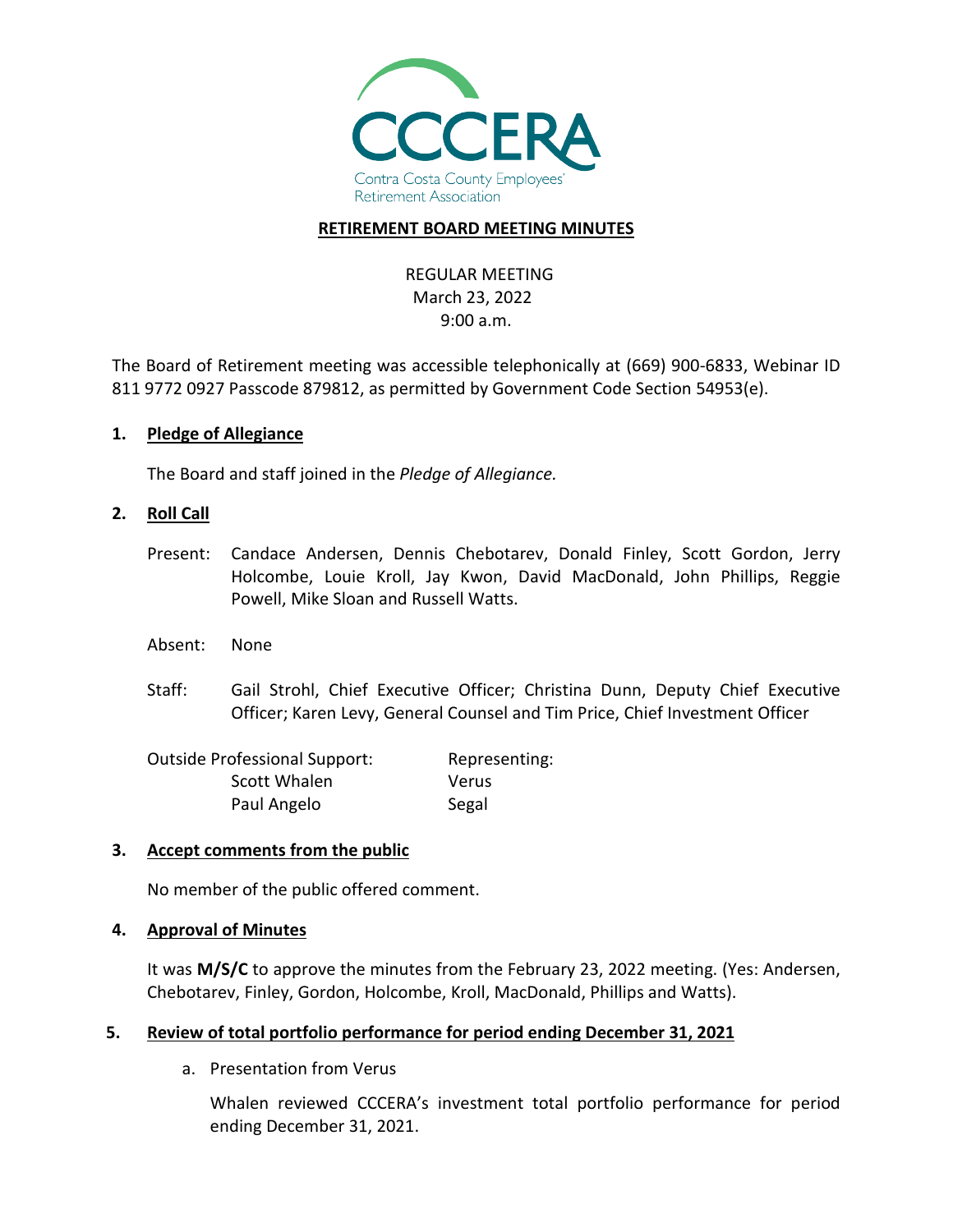

### **RETIREMENT BOARD MEETING MINUTES**

# REGULAR MEETING March 23, 2022 9:00 a.m.

The Board of Retirement meeting was accessible telephonically at (669) 900-6833, Webinar ID 811 9772 0927 Passcode 879812, as permitted by Government Code Section 54953(e).

### **1. Pledge of Allegiance**

The Board and staff joined in the *Pledge of Allegiance.*

### **2. Roll Call**

- Present: Candace Andersen, Dennis Chebotarev, Donald Finley, Scott Gordon, Jerry Holcombe, Louie Kroll, Jay Kwon, David MacDonald, John Phillips, Reggie Powell, Mike Sloan and Russell Watts.
- Absent: None
- Staff: Gail Strohl, Chief Executive Officer; Christina Dunn, Deputy Chief Executive Officer; Karen Levy, General Counsel and Tim Price, Chief Investment Officer

| <b>Outside Professional Support:</b> | Representing: |
|--------------------------------------|---------------|
| Scott Whalen                         | Verus         |
| Paul Angelo                          | Segal         |

## **3. Accept comments from the public**

No member of the public offered comment.

#### **4. Approval of Minutes**

It was **M/S/C** to approve the minutes from the February 23, 2022 meeting. (Yes: Andersen, Chebotarev, Finley, Gordon, Holcombe, Kroll, MacDonald, Phillips and Watts).

## **5. Review of total portfolio performance for period ending December 31, 2021**

a. Presentation from Verus

Whalen reviewed CCCERA's investment total portfolio performance for period ending December 31, 2021.